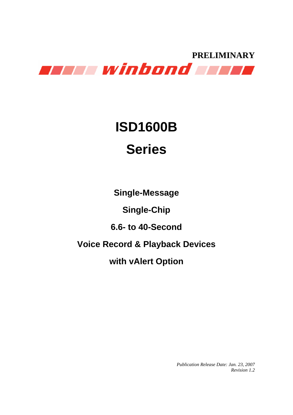

# **ISD1600B Series**

**Single-Message** 

**Single-Chip**

**6.6- to 40-Second** 

**Voice Record & Playback Devices** 

**with vAlert Option** 

*Publication Release Date: Jan. 23, 2007 Revision 1.2*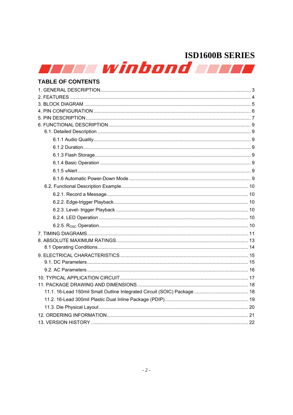**Serve winbond and de** 

### **TABLE OF CONTENTS**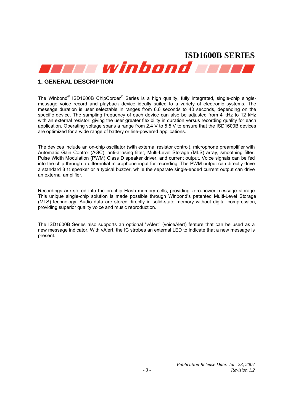

### **1. GENERAL DESCRIPTION**

The Winbond<sup>®</sup> ISD1600B ChipCorder<sup>®</sup> Series is a high quality, fully integrated, single-chip singlemessage voice record and playback device ideally suited to a variety of electronic systems. The message duration is user selectable in ranges from 6.6 seconds to 40 seconds, depending on the specific device. The sampling frequency of each device can also be adjusted from 4 kHz to 12 kHz with an external resistor, giving the user greater flexibility in duration versus recording quality for each application. Operating voltage spans a range from 2.4 V to 5.5 V to ensure that the ISD1600B devices are optimized for a wide range of battery or line-powered applications.

The devices include an on-chip oscillator (with external resistor control), microphone preamplifier with Automatic Gain Control (AGC), anti-aliasing filter, Multi-Level Storage (MLS) array, smoothing filter, Pulse Width Modulation (PWM) Class D speaker driver, and current output. Voice signals can be fed into the chip through a differential microphone input for recording. The PWM output can directly drive a standard 8 Ω speaker or a typical buzzer, while the separate single-ended current output can drive an external amplifier.

Recordings are stored into the on-chip Flash memory cells, providing zero-power message storage. This unique single-chip solution is made possible through Winbond's patented Multi-Level Storage (MLS) technology. Audio data are stored directly in solid-state memory without digital compression, providing superior quality voice and music reproduction.

The ISD1600B Series also supports an optional "vAlert" (voiceAlert) feature that can be used as a new message indicator. With vAlert, the IC strobes an external LED to indicate that a new message is present.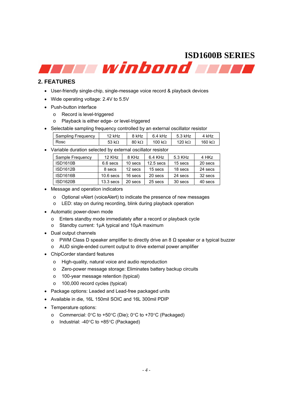### **2. FEATURES**

- User-friendly single-chip, single-message voice record & playback devices
- Wide operating voltage: 2.4V to 5.5V
- Push-button interface
	- o Record is level-triggered
	- o Playback is either edge- or level-triggered
- Selectable sampling frequency controlled by an external oscillator resistor

| Sampling Frequency | 12 kHz        | 8 kHz         | $6.4$ kHz      | 5.3 kHz        | 4 kHz          |
|--------------------|---------------|---------------|----------------|----------------|----------------|
| Rosc               | 53 k $\Omega$ | 80 k $\Omega$ | 100 k $\Omega$ | 120 k $\Omega$ | 160 k $\Omega$ |

• Variable duration selected by external oscillator resistor

| Sample Frequency | $12$ KH <sub>z</sub> | 8 KHz   | 6.4 KHz     | 5.3 KHz | 4 HKz   |
|------------------|----------------------|---------|-------------|---------|---------|
| <b>ISD1610B</b>  | $6.6$ secs           | 10 secs | $12.5$ secs | 15 secs | 20 secs |
| <b>ISD1612B</b>  | 8 secs               | 12 secs | 15 secs     | 18 secs | 24 secs |
| <b>ISD1616B</b>  | $10.6$ secs          | 16 secs | 20 secs     | 24 secs | 32 secs |
| <b>ISD1620B</b>  | $13.3$ secs          | 20 secs | 25 secs     | 30 secs | 40 secs |

- Message and operation indicators
	- o Optional vAlert (voiceAlert) to indicate the presence of new messages
	- o LED: stay on during recording, blink during playback operation
- Automatic power-down mode
	- o Enters standby mode immediately after a record or playback cycle
	- o Standby current: 1µA typical and 10µA maximum
- Dual output channels
	- o PWM Class D speaker amplifier to directly drive an 8 Ω speaker or a typical buzzer
	- o AUD single-ended current output to drive external power amplifier
- ChipCorder standard features
	- o High-quality, natural voice and audio reproduction
	- o Zero-power message storage: Eliminates battery backup circuits
	- o 100-year message retention (typical)
	- o 100,000 record cycles (typical)
- Package options: Leaded and Lead-free packaged units
- Available in die, 16L 150mil SOIC and 16L 300mil PDIP
- Temperature options:
	- o Commercial: 0°C to +50°C (Die); 0°C to +70°C (Packaged)
	- o Industrial: -40°C to +85°C (Packaged)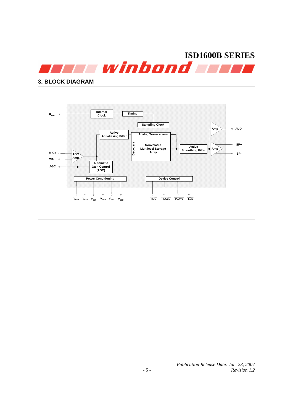

### **3. BLOCK DIAGRAM**



*Publication Release Date: Jan. 23, 2007 - 5 - Revision 1.2*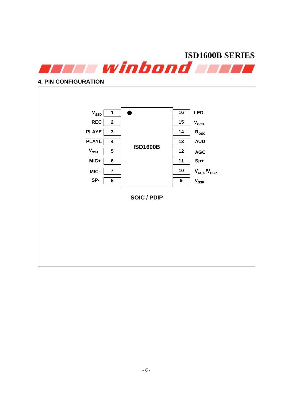

### **4. PIN CONFIGURATION**

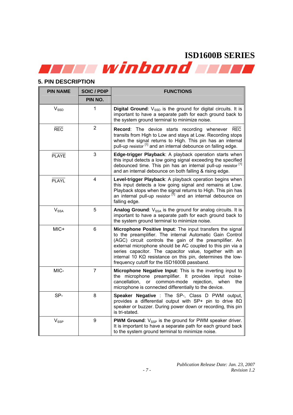## **5. PIN DESCRIPTION**

| <b>PIN NAME</b>  | <b>SOIC / PDIP</b> | <b>FUNCTIONS</b>                                                                                                                                                                                                                                                                                                                                                                                                              |
|------------------|--------------------|-------------------------------------------------------------------------------------------------------------------------------------------------------------------------------------------------------------------------------------------------------------------------------------------------------------------------------------------------------------------------------------------------------------------------------|
|                  | PIN NO.            |                                                                                                                                                                                                                                                                                                                                                                                                                               |
| $V_{\rm SSD}$    | 1                  | <b>Digital Ground:</b> $V_{SSD}$ is the ground for digital circuits. It is<br>important to have a separate path for each ground back to<br>the system ground terminal to minimize noise.                                                                                                                                                                                                                                      |
| <b>REC</b>       | $\overline{2}$     | Record: The device starts recording whenever REC<br>transits from High to Low and stays at Low. Recording stops<br>when the signal returns to High. This pin has an internal<br>pull-up resistor [1] and an internal debounce on falling edge.                                                                                                                                                                                |
| <b>PLAYE</b>     | 3                  | Edge-trigger Playback: A playback operation starts when<br>this input detects a low going signal exceeding the specified<br>debounced time. This pin has an internal pull-up resistor <sup>[1]</sup><br>and an internal debounce on both falling & rising edge.                                                                                                                                                               |
| <b>PLAYL</b>     | 4                  | Level-trigger Playback: A playback operation begins when<br>this input detects a low going signal and remains at Low.<br>Playback stops when the signal returns to High. This pin has an internal pull-up resistor $\left[1\right]$ and an internal debounce on<br>falling edge.                                                                                                                                              |
| $V_{SSA}$        | 5                  | Analog Ground: V <sub>SSA</sub> is the ground for analog circuits. It is<br>important to have a separate path for each ground back to<br>the system ground terminal to minimize noise.                                                                                                                                                                                                                                        |
| MIC+             | 6                  | Microphone Positive Input: The input transfers the signal<br>to the preamplifier. The internal Automatic Gain Control<br>(AGC) circuit controls the gain of the preamplifier. An<br>external microphone should be AC coupled to this pin via a<br>series capacitor. The capacitor value, together with an<br>internal 10 $K\Omega$ resistance on this pin, determines the low-<br>frequency cutoff for the ISD1600B passband. |
| MIC-             | $\overline{7}$     | Microphone Negative Input: This is the inverting input to<br>the microphone preamplifier. It provides input noise-<br>cancellation,<br>or common-mode<br>rejection,<br>when<br>the<br>microphone is connected differentially to the device.                                                                                                                                                                                   |
| SP-              | 8                  | Speaker Negative : The SP-, Class D PWM output,<br>provides a differential output with SP+ pin to drive $8\Omega$<br>speaker or buzzer. During power down or recording, this pin<br>is tri-stated.                                                                                                                                                                                                                            |
| $V_{\text{SSP}}$ | 9                  | <b>PWM Ground:</b> $V_{SSP}$ is the ground for PWM speaker driver.<br>It is important to have a separate path for each ground back<br>to the system ground terminal to minimize noise.                                                                                                                                                                                                                                        |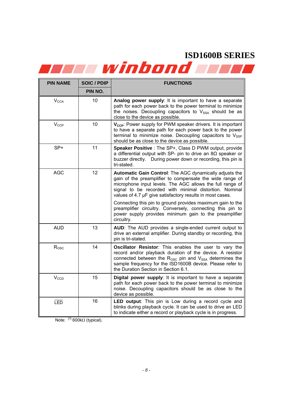| <b>PIN NAME</b>  | <b>SOIC / PDIP</b> | <b>FUNCTIONS</b>                                                                                                                                                                                                                                                                                           |
|------------------|--------------------|------------------------------------------------------------------------------------------------------------------------------------------------------------------------------------------------------------------------------------------------------------------------------------------------------------|
|                  | PIN NO.            |                                                                                                                                                                                                                                                                                                            |
| $V_{\text{CCA}}$ | 10                 | Analog power supply: It is important to have a separate<br>path for each power back to the power terminal to minimize<br>the noises. Decoupling capacitors to V <sub>SSA</sub> should be as<br>close to the device as possible.                                                                            |
| $V_{CCP}$        | 10                 | V <sub>ccp</sub> : Power supply for PWM speaker drivers. It is important<br>to have a separate path for each power back to the power<br>terminal to minimize noise. Decoupling capacitors to $V_{\text{SSP}}$<br>should be as close to the device as possible.                                             |
| SP+              | 11                 | Speaker Positive : The SP+, Class D PWM output, provide<br>a differential output with SP- pin to drive an $8\Omega$ speaker or<br>buzzer directly. During power down or recording, this pin is<br>tri-stated.                                                                                              |
| <b>AGC</b>       | 12                 | Automatic Gain Control: The AGC dynamically adjusts the<br>gain of the preamplifier to compensate the wide range of<br>microphone input levels. The AGC allows the full range of<br>signal to be recorded with minimal distortion. Nominal<br>values of 4.7 µF give satisfactory results in most cases.    |
|                  |                    | Connecting this pin to ground provides maximum gain to the<br>preamplifier circuitry. Conversely, connecting this pin to<br>power supply provides minimum gain to the preamplifier<br>circuitry.                                                                                                           |
| <b>AUD</b>       | 13                 | AUD: The AUD provides a single-ended current output to<br>drive an external amplifier. During standby or recording, this<br>pin is tri-stated.                                                                                                                                                             |
| $R_{\rm{OSC}}$   | 14                 | Oscillator Resistor: This enables the user to vary the<br>record and/or playback duration of the device. A resistor<br>connected between the $R_{\text{OSC}}$ pin and $V_{\text{SSA}}$ determines the<br>sample frequency for the ISD1600B device. Please refer to<br>the Duration Section in Section 6.1. |
| $V_{CCD}$        | 15                 | Digital power supply: It is important to have a separate<br>path for each power back to the power terminal to minimize<br>noise. Decoupling capacitors should be as close to the<br>device as possible.                                                                                                    |
| LED              | 16                 | LED output: This pin is Low during a record cycle and<br>blinks during playback cycle. It can be used to drive an LED<br>to indicate either a record or playback cycle is in progress.                                                                                                                     |

Note:  $[1]$  600kΩ (typical).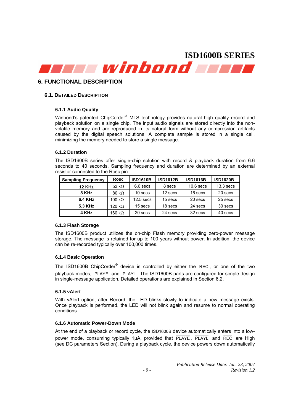

### **6. FUNCTIONAL DESCRIPTION**

### **6.1. DETAILED DESCRIPTION**

### **6.1.1 Audio Quality**

Winbond's patented ChipCorder® MLS technology provides natural high quality record and playback solution on a single chip. The input audio signals are stored directly into the nonvolatile memory and are reproduced in its natural form without any compression artifacts caused by the digital speech solutions. A complete sample is stored in a single cell, minimizing the memory needed to store a single message.

### **6.1.2 Duration**

The ISD1600B series offer single-chip solution with record & playback duration from 6.6 seconds to 40 seconds. Sampling frequency and duration are determined by an external resistor connected to the Rosc pin.

| <b>Rosc</b><br><b>Sampling Frequency</b> |               | <b>ISD1610B</b><br><b>ISD1612B</b> |         | <b>ISD1616B</b> | <b>ISD1620B</b> |  |
|------------------------------------------|---------------|------------------------------------|---------|-----------------|-----------------|--|
| <b>12 KHz</b>                            | 53 k $\Omega$ | 6.6 secs                           | 8 secs  | $10.6$ secs     | $13.3$ secs     |  |
| 8 KHz                                    | 80 k $\Omega$ |                                    | 12 secs | 16 secs         | 20 secs         |  |
| <b>6.4 KHz</b><br>100 k $\Omega$         |               | $12.5$ secs                        | 15 secs | 20 secs         | 25 secs         |  |
| 5.3 KHz<br>120 k $\Omega$                |               | 15 secs                            | 18 secs | 24 secs         | 30 secs         |  |
| 4 KHz<br>160 kΩ                          |               | 20 secs                            | 24 secs | 32 secs         | 40 secs         |  |

### **6.1.3 Flash Storage**

The ISD1600B product utilizes the on-chip Flash memory providing zero-power message storage. The message is retained for up to 100 years without power. In addition, the device can be re-recorded typically over 100,000 times.

### **6.1.4 Basic Operation**

The ISD1600B ChipCorder<sup>®</sup> device is controlled by either the  $\overline{\text{REC}}$ , or one of the two playback modes, PLAYE and PLAYL . The ISD1600B parts are configured for simple design in single-message application. Detailed operations are explained in Section 6.2.

### **6.1.5 vAlert**

With vAlert option, after Record, the LED blinks slowly to indicate a new message exists. Once playback is performed, the LED will not blink again and resume to normal operating conditions.

### **6.1.6 Automatic Power-Down Mode**

At the end of a playback or record cycle, the ISD1600B device automatically enters into a lowpower mode, consuming typically 1µA, provided that PLAYE, PLAYL and REC are High (see DC parameters Section). During a playback cycle, the device powers down automatically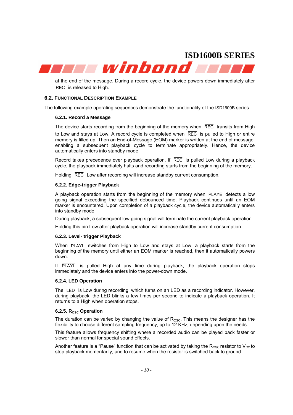winbond

at the end of the message. During a record cycle, the device powers down immediately after REC is released to High.

### **6.2. FUNCTIONAL DESCRIPTION EXAMPLE**

The following example operating sequences demonstrate the functionality of the ISD1600B series.

### **6.2.1. Record a Message**

The device starts recording from the beginning of the memory when REC transits from High to Low and stays at Low. A record cycle is completed when REC is pulled to High or entire memory is filled up. Then an End-of-Message (EOM) marker is written at the end of message, enabling a subsequent playback cycle to terminate appropriately. Hence, the device automatically enters into standby mode.

Record takes precedence over playback operation. If REC is pulled Low during a playback cycle, the playback immediately halts and recording starts from the beginning of the memory.

Holding REC Low after recording will increase standby current consumption.

### **6.2.2. Edge-trigger Playback**

A playback operation starts from the beginning of the memory when PLAYE detects a low going signal exceeding the specified debounced time. Playback continues until an EOM marker is encountered. Upon completion of a playback cycle, the device automatically enters into standby mode.

During playback, a subsequent low going signal will terminate the current playback operation.

Holding this pin Low after playback operation will increase standby current consumption.

### **6.2.3. Level- trigger Playback**

When PLAYL switches from High to Low and stays at Low, a playback starts from the beginning of the memory until either an EOM marker is reached, then it automatically powers down.

If PLAYL is pulled High at any time during playback, the playback operation stops immediately and the device enters into the power-down mode.

### **6.2.4. LED Operation**

The LED is Low during recording, which turns on an LED as a recording indicator. However, during playback, the LED blinks a few times per second to indicate a playback operation. It returns to a High when operation stops.

### **6.2.5. Rosc Operation**

The duration can be varied by changing the value of  $R_{\text{OSC}}$ . This means the designer has the flexibility to choose different sampling frequency, up to 12 KHz, depending upon the needs.

This feature allows frequency shifting where a recorded audio can be played back faster or slower than normal for special sound effects.

Another feature is a "Pause" function that can be activated by taking the  $R_{\text{OSC}}$  resistor to  $V_{\text{CC}}$  to stop playback momentarily, and to resume when the resistor is switched back to ground.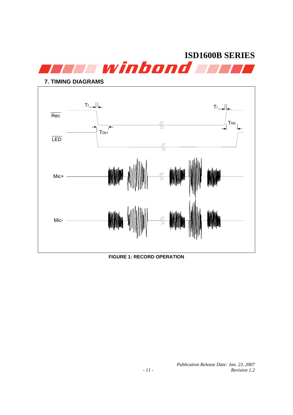

**7. TIMING DIAGRAMS**   $T_f$   $T_f$ Rec  $\sqrt{\xi}$ TRS  $\overline{\cdot}$ T<sub>Db1</sub> LED  $\sqrt{\xi}$ Mic+ Mic-

**FIGURE 1: RECORD OPERATION** 

*Publication Release Date: Jan. 23, 2007 - 11 - Revision 1.2*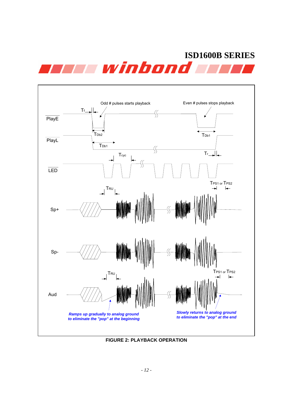



**FIGURE 2: PLAYBACK OPERATION**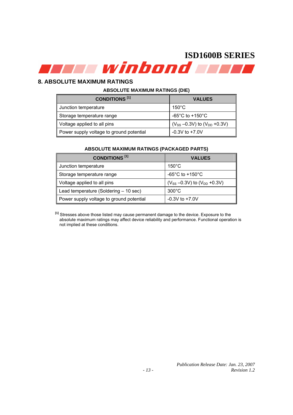

### **8. ABSOLUTE MAXIMUM RATINGS**

### **ABSOLUTE MAXIMUM RATINGS (DIE)**

| <b>CONDITIONS</b> <sup>[1]</sup>         | <b>VALUES</b>                          |
|------------------------------------------|----------------------------------------|
| Junction temperature                     | $150^{\circ}$ C                        |
| Storage temperature range                | -65°C to +150°C                        |
| Voltage applied to all pins              | $(V_{SS} - 0.3V)$ to $(V_{DD} + 0.3V)$ |
| Power supply voltage to ground potential | $-0.3V$ to $+7.0V$                     |

### **ABSOLUTE MAXIMUM RATINGS (PACKAGED PARTS)**

| <b>CONDITIONS</b> <sup>[1]</sup>         | <b>VALUES</b>                          |
|------------------------------------------|----------------------------------------|
| Junction temperature                     | $150^{\circ}$ C                        |
| Storage temperature range                | $-65^{\circ}$ C to $+150^{\circ}$ C    |
| Voltage applied to all pins<br>II        | $(V_{SS} - 0.3V)$ to $(V_{DD} + 0.3V)$ |
| Lead temperature (Soldering $-10$ sec)   | $300^{\circ}$ C                        |
| Power supply voltage to ground potential | $-0.3V$ to $+7.0V$                     |

**[1]** Stresses above those listed may cause permanent damage to the device. Exposure to the absolute maximum ratings may affect device reliability and performance. Functional operation is not implied at these conditions.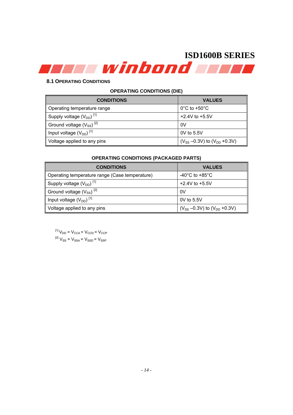### **8.1 OPERATING CONDITIONS**

### **OPERATING CONDITIONS (DIE)**

| <b>CONDITIONS</b>                        | <b>VALUES</b>                          |
|------------------------------------------|----------------------------------------|
| Operating temperature range              | $0^{\circ}$ C to +50 $^{\circ}$ C      |
| Supply voltage $(V_{DD})$ <sup>[1]</sup> | $+2.4V$ to $+5.5V$                     |
| Ground voltage $(V_{SS})^{[2]}$          | 0V                                     |
| Input voltage $(V_{DD})$ <sup>[1]</sup>  | 0V to $5.5V$                           |
| Voltage applied to any pins              | $(V_{SS} - 0.3V)$ to $(V_{DD} + 0.3V)$ |

### **OPERATING CONDITIONS (PACKAGED PARTS)**

| <b>CONDITIONS</b>                              | <b>VALUES</b>                          |
|------------------------------------------------|----------------------------------------|
| Operating temperature range (Case temperature) | -40 $^{\circ}$ C to +85 $^{\circ}$ C   |
| Supply voltage $(V_{DD})$ <sup>[1]</sup>       | $+2.4V$ to $+5.5V$                     |
| Ground voltage $(V_{SS})^{[2]}$                | 0V                                     |
| Input voltage $(V_{DD})$ <sup>[1]</sup>        | $0V$ to 5.5V                           |
| Voltage applied to any pins                    | $(V_{SS} - 0.3V)$ to $(V_{DD} + 0.3V)$ |

 $^{[1]}V_{DD} = V_{CCA} = V_{CCD} = V_{CCP}$  ${}^{[2]}V_{\rm SS} = V_{\rm SSA}$  =  $V_{\rm SSD}$  =  $V_{\rm SSP}$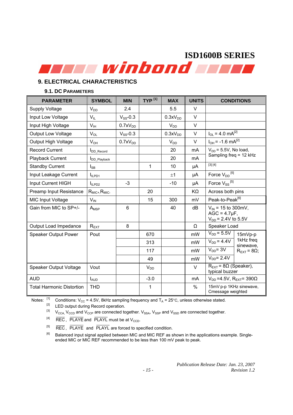## **9. ELECTRICAL CHARACTERISTICS**

### **9.1. DC PARAMETERS**

| <b>PARAMETER</b>                 | <b>SYMBOL</b>        | <b>MIN</b>          | $TYP$ <sup>[1]</sup> | <b>MAX</b>          | <b>UNITS</b>  | <b>CONDITIONS</b>                                                         |                                 |  |
|----------------------------------|----------------------|---------------------|----------------------|---------------------|---------------|---------------------------------------------------------------------------|---------------------------------|--|
| <b>Supply Voltage</b>            | $V_{DD}$             | 2.4                 |                      | 5.5                 | V             |                                                                           |                                 |  |
| Input Low Voltage                | $V_{IL}$             | $V_{SS}$ -0.3       |                      | 0.3xV <sub>DD</sub> | V             |                                                                           |                                 |  |
| Input High Voltage               | V <sub>IH</sub>      | 0.7xV <sub>DD</sub> |                      | $V_{DD}$            | $\vee$        |                                                                           |                                 |  |
| <b>Output Low Voltage</b>        | $V_{OL}$             | $V_{SS}$ -0.3       |                      | 0.3xV <sub>DD</sub> | V             | $I_{OL}$ = 4.0 mA <sup>[2]</sup>                                          |                                 |  |
| Output High Voltage              | $V_{OH}$             | 0.7xV <sub>DD</sub> |                      | $V_{DD}$            | $\vee$        | $I_{OH}$ = -1.6 mA <sup>[2]</sup>                                         |                                 |  |
| <b>Record Current</b>            | <b>I</b> DD_Record   |                     |                      | 20                  | mA            | $V_{DD}$ = 5.5V, No load,                                                 |                                 |  |
| Playback Current                 | <b>IDD</b> Playback  |                     |                      | 20                  | mA            | Sampling freq = 12 kHz                                                    |                                 |  |
| <b>Standby Current</b>           | $I_{SB}$             |                     | $\mathbf{1}$         | 10                  | μA            | [3] [4]                                                                   |                                 |  |
| Input Leakage Current            | I <sub>ILPD1</sub>   |                     |                      | ±1                  | μA            | Force $V_{DD}$ <sup>[5]</sup>                                             |                                 |  |
| Input Current HIGH               | I <sub>ILPD2</sub>   | $-3$                |                      | $-10$               | μA            | Force $V_{SS}$ <sup>[5]</sup>                                             |                                 |  |
| <b>Preamp Input Resistance</b>   | $R_{MIC^+}R_{MIC^-}$ |                     | 20                   |                     | KΩ            | Across both pins                                                          |                                 |  |
| <b>MIC Input Voltage</b>         | $V_{IN}$             |                     | 15                   | 300                 | mV            | Peak-to-Peak <sup>[6]</sup>                                               |                                 |  |
| Gain from MIC to SP+/-           | $A_{MSP}$            | $6\phantom{1}$      |                      | 40                  | dB            | $V_{IN}$ = 15 to 300mV,<br>$AGC = 4.7 \mu F$ ,<br>$V_{DD} = 2.4V$ to 5.5V |                                 |  |
| Output Load Impedance            | $R_{EXT}$            | 8                   |                      |                     | Ω             | Speaker Load                                                              |                                 |  |
| Speaker Output Power             | Pout                 |                     | 670                  |                     | mW            | $V_{DD}$ = 5.5V                                                           | $15mVp-p$                       |  |
|                                  |                      |                     | 313                  |                     | mW            | $V_{DD} = 4.4V$                                                           | 1kHz freq<br>sinewave,          |  |
|                                  |                      |                     | 117                  |                     | mW            | $V_{DD}$ = 3V                                                             | $R_{\text{EXT}}$ = 8 $\Omega$ ; |  |
|                                  |                      |                     | 49                   |                     | mW            | $V_{DD}$ = 2.4V                                                           |                                 |  |
| Speaker Output Voltage           | Vout                 |                     | $V_{DD}$             |                     | $\vee$        | $R_{\text{EXT}}$ = 8 $\Omega$ (Speaker),<br>typical buzzer                |                                 |  |
| <b>AUD</b>                       | $I_{AUD}$            |                     | $-3.0$               |                     | mA            | $V_{DD}$ =4.5V, R <sub>EXT</sub> = 390 $\Omega$                           |                                 |  |
| <b>Total Harmonic Distortion</b> | <b>THD</b>           |                     | 1                    |                     | $\frac{0}{0}$ | 15mV p-p 1KHz sinewave,<br>Cmessage weighted                              |                                 |  |

Notes:  $\begin{bmatrix} 1 \end{bmatrix}$  Conditions: V<sub>CC</sub> = 4.5V, 8kHz sampling frequency and T<sub>A</sub> = 25°C, unless otherwise stated.

<sup>[2]</sup> LED output during Record operation.<br><sup>[3]</sup> Mess *Nass* and *Nass* are connected to

 $V_{\text{CCA}}$ ,  $V_{\text{CCD}}$  and  $V_{\text{CCP}}$  are connected together.  $V_{SSA}$ ,  $V_{SSP}$  and  $V_{SSD}$  are connected together.

 $H^{4}$  REC, PLAYE and PLAYL must be at V<sub>CCD</sub>.

 $[5]$  REC, PLAYE and PLAYL are forced to specified condition.

<sup>[6]</sup> Balanced input signal applied between MIC and MIC REF as shown in the applications example. Singleended MIC or MIC REF recommended to be less than 100 mV peak to peak.

> *Publication Release Date: Jan. 23, 2007 - 15 - Revision 1.2*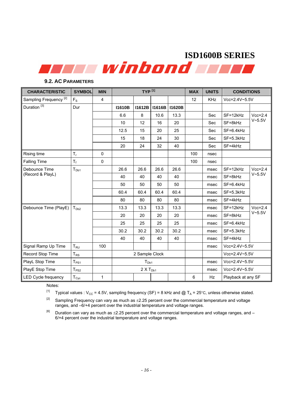| <b>CHARACTERISTIC</b>             | <b>SYMBOL</b>              | <b>MIN</b>   |                | TYP <sup>[1]</sup> |               |               | <b>MAX</b>     | <b>UNITS</b> | <b>CONDITIONS</b>   |            |
|-----------------------------------|----------------------------|--------------|----------------|--------------------|---------------|---------------|----------------|--------------|---------------------|------------|
| Sampling Frequency <sup>[2]</sup> | $F_S$                      | 4            |                |                    |               |               | 12             | <b>KHz</b>   | Vcc=2.4V~5.5V       |            |
| Duration <sup>[3]</sup>           | Dur                        |              | <b>I1610B</b>  | <b>I1612B</b>      | <b>I1616B</b> | <b>I1620B</b> |                |              |                     |            |
|                                   |                            |              | 6.6            | 8                  | 10.6          | 13.3          |                | Sec          | SF=12kHz            | $Vcc=2.4$  |
|                                   |                            |              | 10             | 12                 | 16            | 20            |                | Sec          | SF=8kHz             | V~5.5V     |
|                                   |                            |              | 12.5           | 15                 | 20            | 25            |                | Sec          | $SF=6.4kHz$         |            |
|                                   |                            |              | 15             | 18                 | 24            | 30            |                | Sec          | $SF = 5.3kHz$       |            |
|                                   |                            |              | 20             | 24                 | 32            | 40            |                | Sec          | $SF = 4kHz$         |            |
| Rising time                       | $T_{\rm r}$                | $\mathbf 0$  |                |                    |               |               | 100            | nsec         |                     |            |
| <b>Falling Time</b>               | $T_f$                      | $\pmb{0}$    |                |                    |               |               | 100            | nsec         |                     |            |
| Debounce Time<br>(Record & PlayL) | $T_{Db1}$                  |              | 26.6           | 26.6               | 26.6          | 26.6          |                | msec         | SF=12kHz            | $Vcc=2.4$  |
|                                   |                            |              | 40             | 40                 | 40            | 40            |                | msec         | SF=8kHz             | $V - 5.5V$ |
|                                   |                            |              | 50             | 50                 | 50            | 50            |                | msec         | $SF=6.4kHz$         |            |
|                                   |                            |              | 60.4           | 60.4               | 60.4          | 60.4          |                | msec         | SF=5.3kHz           |            |
|                                   |                            |              | 80             | 80                 | 80            | 80            |                | msec         | $SF = 4kHz$         |            |
| Debounce Time (PlayE)             | T <sub>Db2</sub>           |              | 13.3           | 13.3               | 13.3          | 13.3          |                | msec         | SF=12kHz            | $Vcc=2.4$  |
|                                   |                            |              | 20             | 20                 | 20            | 20            |                | msec         | $SF = 8kHz$         | $V - 5.5V$ |
|                                   |                            |              | 25             | 25                 | 25            | 25            |                | msec         | $SF=6.4kHz$         |            |
|                                   |                            |              | 30.2           | 30.2               | 30.2          | 30.2          |                | msec         | $SF = 5.3kHz$       |            |
|                                   |                            |              | 40             | 40                 | 40            | 40            |                | msec         | $SF = 4kHz$         |            |
| Signal Ramp Up Time               | $T_{RU}$                   | 100          |                |                    |               |               |                | msec         | $Vcc = 2.4V - 5.5V$ |            |
| Record Stop Time                  | $\mathsf{T}_{\mathsf{RS}}$ |              | 2 Sample Clock |                    |               |               |                |              | $Vcc = 2.4V - 5.5V$ |            |
| PlayL Stop Time                   | $T_{PS1}$                  |              |                | T <sub>Db1</sub>   |               |               |                | msec         | Vcc=2.4V~5.5V       |            |
| PlayE Stop Time                   | $T_{PS2}$                  |              |                | $2 X T_{Db1}$      |               |               |                | msec         | $Vcc = 2.4V - 5.5V$ |            |
| <b>LED Cycle frequency</b>        | ${\sf T}_{{\sf Cyc}}$      | $\mathbf{1}$ |                |                    |               |               | $6\phantom{a}$ | Hz           | Playback at any SF  |            |

### **9.2. AC PARAMETERS**

Notes:

<sup>[1]</sup> Typical values :  $V_{CC}$  = 4.5V, sampling frequency (SF) = 8 kHz and @ T<sub>A</sub> = 25°C, unless otherwise stated.

 $^{[2]}$  Sampling Frequency can vary as much as  $\pm$ 2.25 percent over the commercial temperature and voltage ranges, and –6/+4 percent over the industrial temperature and voltage ranges.

 $^{[6]}$  Duration can vary as much as  $\pm 2.25$  percent over the commercial temperature and voltage ranges, and -6/+4 percent over the industrial temperature and voltage ranges.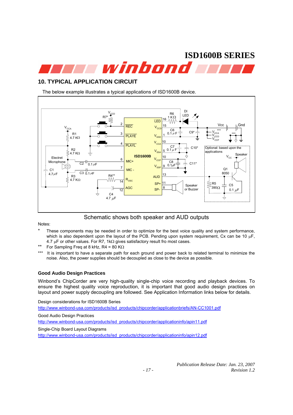**ISD1600B SERIES**  winbond **win** 

### **10. TYPICAL APPLICATION CIRCUIT**

The below example illustrates a typical applications of ISD1600B device.



Schematic shows both speaker and AUD outputs

Notes:

- These components may be needed in order to optimize for the best voice quality and system performance, which is also dependent upon the layout of the PCB. Pending upon system requirement, Cx can be 10  $\mu$ F, 4.7  $\mu$ F or other values. For R7, 1k $\Omega$  gives satisfactory result fro most cases.
- For Sampling Freq at 8 kHz, R4 = 80 K $\Omega$
- \*\*\* It is important to have a separate path for each ground and power back to related terminal to minimize the noise. Also, the power supplies should be decoupled as close to the device as possible.

### **Good Audio Design Practices**

Winbond's ChipCorder are very high-quality single-chip voice recording and playback devices. To ensure the highest quality voice reproduction, it is important that good audio design practices on layout and power supply decoupling are followed. See Application Information links below for details.

Design considerations for ISD1600B Series

http://www.winbond-usa.com/products/isd\_products/chipcorder/applicationbriefs/AN-CC1001.pdf

Good Audio Design Practices

http://www.winbond-usa.com/products/isd\_products/chipcorder/applicationinfo/apin11.pdf

Single-Chip Board Layout Diagrams

http://www.winbond-usa.com/products/isd\_products/chipcorder/applicationinfo/apin12.pdf

*Publication Release Date: Jan. 23, 2007 - 17 - Revision 1.2*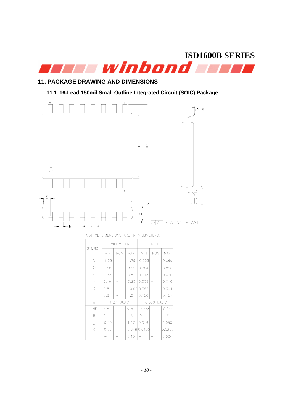

## **11. PACKAGE DRAWING AND DIMENSIONS**

**11.1. 16-Lead 150mil Small Outline Integrated Circuit (SOIC) Package** 



COTROL DIMENSIONS ARE IN MILLIMETERS.

| <b>SYMBOL</b> | MILLIMETER |      |      | <b>INCH</b> |      |           |
|---------------|------------|------|------|-------------|------|-----------|
|               | MIN.       | NOM. | MAX. | MIN.        | NOM. | MAX.      |
| А             | 1.35       |      | 1.75 | 0.053       |      | 0.069     |
| A1            | 0.10       |      | 0.25 | 0.004       |      | 0.010     |
| b             | 0.33       |      | 0.51 | 0.013       |      | 0.020     |
| C             | 0.19       |      | 0.25 | 0.008       |      | 0.010     |
| D             | 9.8        |      |      | 10.00 0.386 |      | 0.394     |
| F             | 3.8        |      | 4.0  | 0.150       |      | 0.157     |
| e             | 1.27 BASIC |      |      | 0.050 BASIC |      |           |
| <b>HE</b>     | 5.8        |      | 6.20 | 0.228       |      | 0.244     |
| θ             | 0.         |      | 8°   | 0.          |      | $8^\circ$ |
| $\mathsf{I}$  | 0.40       |      | 1.27 | 0.016       |      | 0.050     |
| S             | 0.394      |      |      | 0.6480.0155 |      | 0.0255    |
| У             |            |      | 0.10 |             |      | 0.004     |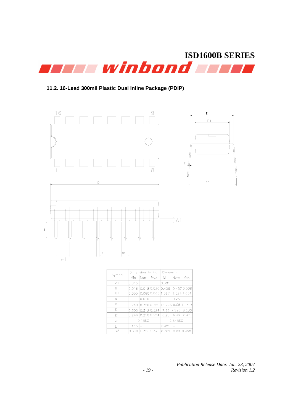

### **11.2. 16-Lead 300mil Plastic Dual Inline Package (PDIP)**



| Symbol         |           | Dimension in inch        |                   | Dimension in<br>mm        |             |             |
|----------------|-----------|--------------------------|-------------------|---------------------------|-------------|-------------|
|                | Min       | Nom                      | Max               | Min                       | Nom         | Max         |
| A <sub>1</sub> | 0.015     | $\overline{\phantom{0}}$ |                   | 0.381                     |             |             |
| B              | 0.016     |                          | 0.018 0.020 0.406 |                           |             | 0.457 0.508 |
| B1             | 0.055     |                          | 0.060 0.065 1.397 |                           | 1.524 1.651 |             |
| Ċ              |           | 0.010                    |                   |                           | 0.25        |             |
| D              | 0.740     |                          |                   | lo.750l0.760 l18.79d19.05 |             | 19.304      |
| E              | 0.300     | 0.3120.324               |                   | 7.62                      | 17.925      | 8.230       |
| E1             | 0.246     | 0.250 0.254              |                   | 6.25                      | 6.35        | 6.45        |
| e <sub>1</sub> | $0.1$ BSC |                          |                   | 2.54BSC                   |             |             |
| L              | 0.115     |                          |                   | 2.921                     |             |             |
| еA             | 0.330     |                          | 0.350 0.370 8.382 |                           | 8.89        | 9.398       |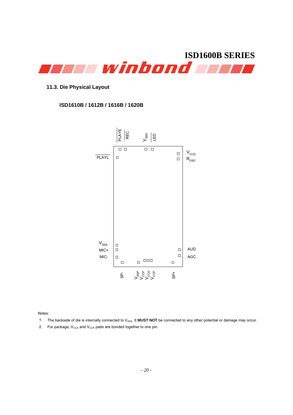

### **11.3. Die Physical Layout**

### **ISD1610B / 1612B / 1616B / 1620B**



Notes:

- 1. The backside of die is internally connected to V<sub>SSA</sub>. It **MUST NOT** be connected to any other potential or damage may occur.
- 2. For package,  $V_{\text{CCA}}$  and  $V_{\text{CCP}}$  pads are bonded together to one pin.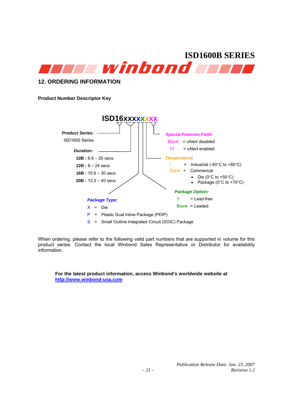

### **12. ORDERING INFORMATION**

**Product Number Descriptor Key** 



When ordering, please refer to the following valid part numbers that are supported in volume for this product series. Contact the local Winbond Sales Representative or Distributor for availability information.

**For the latest product information, access Winbond's worldwide website at http://www.winbond-usa.com**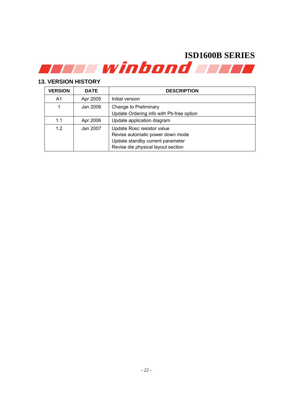### **13. VERSION HISTORY**

| <b>VERSION</b> | <b>DATE</b> | <b>DESCRIPTION</b>                                                                                                                       |
|----------------|-------------|------------------------------------------------------------------------------------------------------------------------------------------|
| A1             | Apr 2005    | Initial version                                                                                                                          |
|                | Jan 2006    | Change to Preliminary<br>Update Ordering info with Pb-free option                                                                        |
| 1.1            | Apr 2006    | Update application diagram                                                                                                               |
| 12             | Jan 2007    | Update Rosc resistor value<br>Revise automatic power down mode<br>Update standby current parameter<br>Revise die physical layout section |